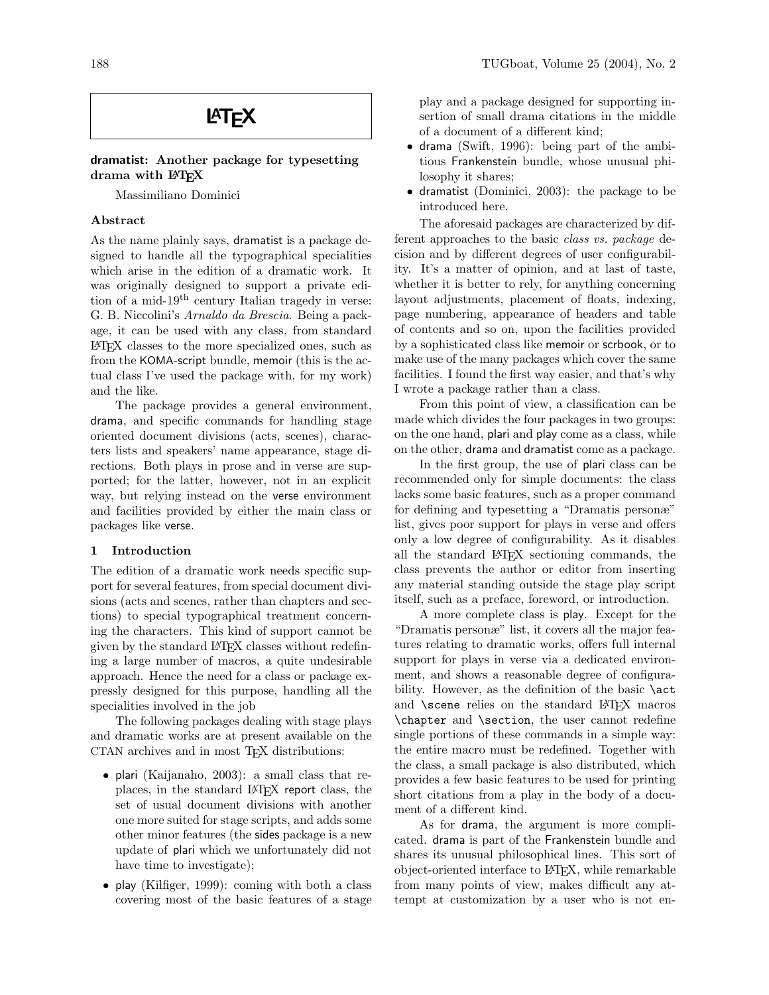# **LAT<sub>F</sub>X**

# dramatist: Another package for typesetting drama with LAT<sub>EX</sub>

Massimiliano Dominici

# Abstract

As the name plainly says, dramatist is a package designed to handle all the typographical specialities which arise in the edition of a dramatic work. It was originally designed to support a private edition of a mid-19th century Italian tragedy in verse: G. B. Niccolini's Arnaldo da Brescia. Being a package, it can be used with any class, from standard LATEX classes to the more specialized ones, such as from the KOMA-script bundle, memoir (this is the actual class I've used the package with, for my work) and the like.

The package provides a general environment, drama, and specific commands for handling stage oriented document divisions (acts, scenes), characters lists and speakers' name appearance, stage directions. Both plays in prose and in verse are supported; for the latter, however, not in an explicit way, but relying instead on the verse environment and facilities provided by either the main class or packages like verse.

#### 1 Introduction

The edition of a dramatic work needs specific support for several features, from special document divisions (acts and scenes, rather than chapters and sections) to special typographical treatment concerning the characters. This kind of support cannot be given by the standard LATEX classes without redefining a large number of macros, a quite undesirable approach. Hence the need for a class or package expressly designed for this purpose, handling all the specialities involved in the job

The following packages dealing with stage plays and dramatic works are at present available on the CTAN archives and in most TEX distributions:

- plari (Kaijanaho, 2003): a small class that replaces, in the standard LATEX report class, the set of usual document divisions with another one more suited for stage scripts, and adds some other minor features (the sides package is a new update of plari which we unfortunately did not have time to investigate);
- play (Kilfiger, 1999): coming with both a class covering most of the basic features of a stage

play and a package designed for supporting insertion of small drama citations in the middle of a document of a different kind;

- drama (Swift, 1996): being part of the ambitious Frankenstein bundle, whose unusual philosophy it shares;
- dramatist (Dominici, 2003): the package to be introduced here.

The aforesaid packages are characterized by different approaches to the basic class vs. package decision and by different degrees of user configurability. It's a matter of opinion, and at last of taste, whether it is better to rely, for anything concerning layout adjustments, placement of floats, indexing, page numbering, appearance of headers and table of contents and so on, upon the facilities provided by a sophisticated class like memoir or scrbook, or to make use of the many packages which cover the same facilities. I found the first way easier, and that's why I wrote a package rather than a class.

From this point of view, a classification can be made which divides the four packages in two groups: on the one hand, plari and play come as a class, while on the other, drama and dramatist come as a package.

In the first group, the use of plari class can be recommended only for simple documents: the class lacks some basic features, such as a proper command for defining and typesetting a "Dramatis personæ" list, gives poor support for plays in verse and offers only a low degree of configurability. As it disables all the standard LATEX sectioning commands, the class prevents the author or editor from inserting any material standing outside the stage play script itself, such as a preface, foreword, or introduction.

A more complete class is play. Except for the "Dramatis personæ" list, it covers all the major features relating to dramatic works, offers full internal support for plays in verse via a dedicated environment, and shows a reasonable degree of configurability. However, as the definition of the basic **\act** and **\scene** relies on the standard LAT<sub>E</sub>X macros \chapter and \section, the user cannot redefine single portions of these commands in a simple way: the entire macro must be redefined. Together with the class, a small package is also distributed, which provides a few basic features to be used for printing short citations from a play in the body of a document of a different kind.

As for drama, the argument is more complicated. drama is part of the Frankenstein bundle and shares its unusual philosophical lines. This sort of object-oriented interface to LATEX, while remarkable from many points of view, makes difficult any attempt at customization by a user who is not en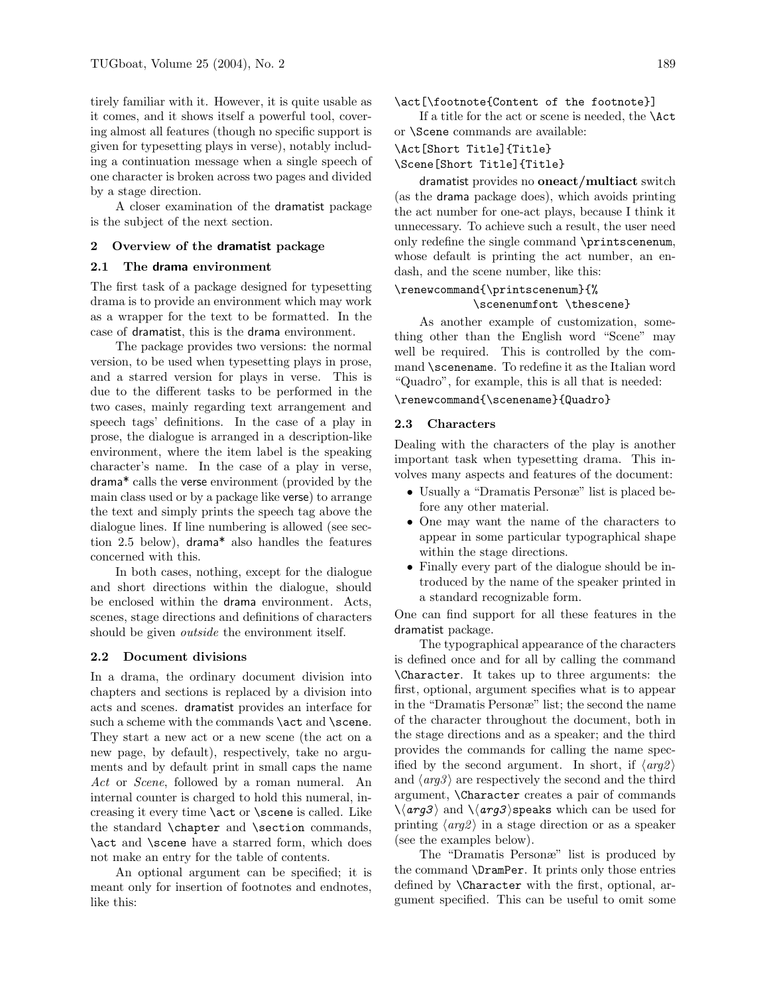tirely familiar with it. However, it is quite usable as it comes, and it shows itself a powerful tool, covering almost all features (though no specific support is given for typesetting plays in verse), notably including a continuation message when a single speech of one character is broken across two pages and divided by a stage direction.

A closer examination of the dramatist package is the subject of the next section.

# 2 Overview of the dramatist package

# 2.1 The drama environment

The first task of a package designed for typesetting drama is to provide an environment which may work as a wrapper for the text to be formatted. In the case of dramatist, this is the drama environment.

The package provides two versions: the normal version, to be used when typesetting plays in prose, and a starred version for plays in verse. This is due to the different tasks to be performed in the two cases, mainly regarding text arrangement and speech tags' definitions. In the case of a play in prose, the dialogue is arranged in a description-like environment, where the item label is the speaking character's name. In the case of a play in verse, drama\* calls the verse environment (provided by the main class used or by a package like verse) to arrange the text and simply prints the speech tag above the dialogue lines. If line numbering is allowed (see section 2.5 below), drama\* also handles the features concerned with this.

In both cases, nothing, except for the dialogue and short directions within the dialogue, should be enclosed within the drama environment. Acts, scenes, stage directions and definitions of characters should be given *outside* the environment itself.

#### 2.2 Document divisions

In a drama, the ordinary document division into chapters and sections is replaced by a division into acts and scenes. dramatist provides an interface for such a scheme with the commands \act and \scene. They start a new act or a new scene (the act on a new page, by default), respectively, take no arguments and by default print in small caps the name Act or *Scene*, followed by a roman numeral. An internal counter is charged to hold this numeral, increasing it every time \act or \scene is called. Like the standard \chapter and \section commands, \act and \scene have a starred form, which does not make an entry for the table of contents.

An optional argument can be specified; it is meant only for insertion of footnotes and endnotes, like this:

# \act[\footnote{Content of the footnote}]

If a title for the act or scene is needed, the \Act or \Scene commands are available:

#### \Act[Short Title]{Title}

#### \Scene[Short Title]{Title}

dramatist provides no oneact/multiact switch (as the drama package does), which avoids printing the act number for one-act plays, because I think it unnecessary. To achieve such a result, the user need only redefine the single command \printscenenum, whose default is printing the act number, an endash, and the scene number, like this:

#### \renewcommand{\printscenenum}{% \scenenumfont \thescene}

As another example of customization, something other than the English word "Scene" may well be required. This is controlled by the command \scenename. To redefine it as the Italian word "Quadro", for example, this is all that is needed:

\renewcommand{\scenename}{Quadro}

#### 2.3 Characters

Dealing with the characters of the play is another important task when typesetting drama. This involves many aspects and features of the document:

- Usually a "Dramatis Personæ" list is placed before any other material.
- One may want the name of the characters to appear in some particular typographical shape within the stage directions.
- Finally every part of the dialogue should be introduced by the name of the speaker printed in a standard recognizable form.

One can find support for all these features in the dramatist package.

The typographical appearance of the characters is defined once and for all by calling the command \Character. It takes up to three arguments: the first, optional, argument specifies what is to appear in the "Dramatis Personæ" list; the second the name of the character throughout the document, both in the stage directions and as a speaker; and the third provides the commands for calling the name specified by the second argument. In short, if  $\langle arg2 \rangle$ and  $\langle arg3 \rangle$  are respectively the second and the third argument, \Character creates a pair of commands  $\langle \langle arg3 \rangle$  and  $\langle \langle arg3 \rangle$  speaks which can be used for printing  $\langle arg \rangle$  in a stage direction or as a speaker (see the examples below).

The "Dramatis Personæ" list is produced by the command \DramPer. It prints only those entries defined by \Character with the first, optional, argument specified. This can be useful to omit some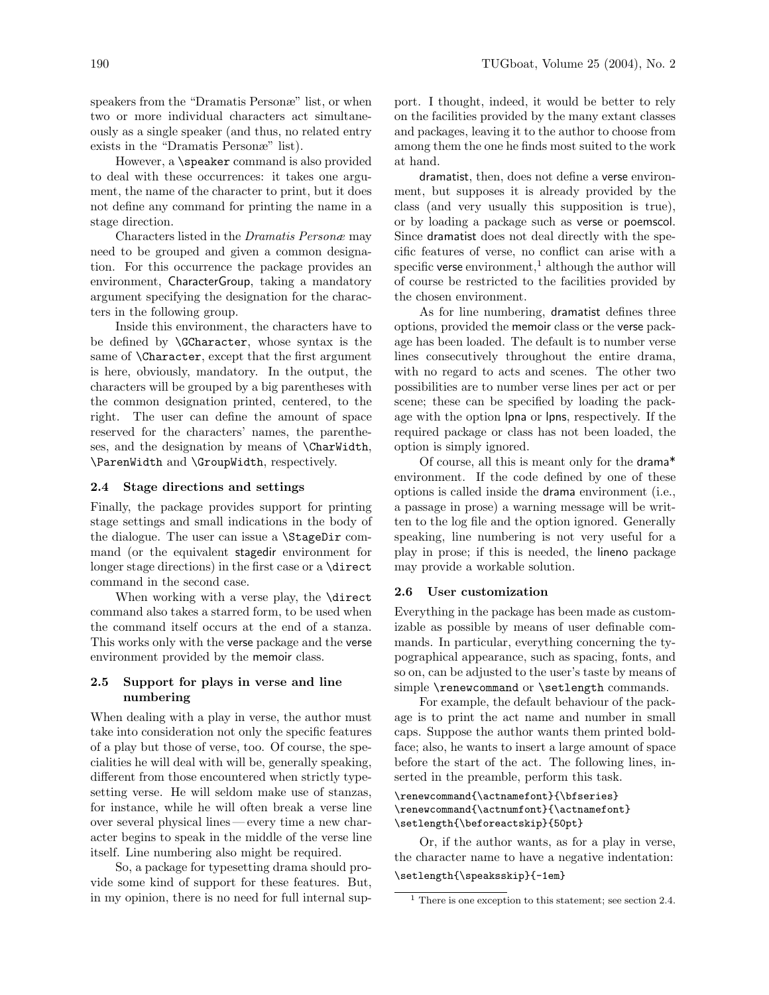speakers from the "Dramatis Personæ" list, or when two or more individual characters act simultaneously as a single speaker (and thus, no related entry exists in the "Dramatis Personæ" list).

However, a \speaker command is also provided to deal with these occurrences: it takes one argument, the name of the character to print, but it does not define any command for printing the name in a stage direction.

Characters listed in the Dramatis Personæ may need to be grouped and given a common designation. For this occurrence the package provides an environment, CharacterGroup, taking a mandatory argument specifying the designation for the characters in the following group.

Inside this environment, the characters have to be defined by \GCharacter, whose syntax is the same of \Character, except that the first argument is here, obviously, mandatory. In the output, the characters will be grouped by a big parentheses with the common designation printed, centered, to the right. The user can define the amount of space reserved for the characters' names, the parentheses, and the designation by means of \CharWidth, \ParenWidth and \GroupWidth, respectively.

#### 2.4 Stage directions and settings

Finally, the package provides support for printing stage settings and small indications in the body of the dialogue. The user can issue a \StageDir command (or the equivalent stagedir environment for longer stage directions) in the first case or a **\direct** command in the second case.

When working with a verse play, the **\direct** command also takes a starred form, to be used when the command itself occurs at the end of a stanza. This works only with the verse package and the verse environment provided by the memoir class.

# 2.5 Support for plays in verse and line numbering

When dealing with a play in verse, the author must take into consideration not only the specific features of a play but those of verse, too. Of course, the specialities he will deal with will be, generally speaking, different from those encountered when strictly typesetting verse. He will seldom make use of stanzas, for instance, while he will often break a verse line over several physical lines — every time a new character begins to speak in the middle of the verse line itself. Line numbering also might be required.

So, a package for typesetting drama should provide some kind of support for these features. But, in my opinion, there is no need for full internal support. I thought, indeed, it would be better to rely on the facilities provided by the many extant classes and packages, leaving it to the author to choose from among them the one he finds most suited to the work at hand.

dramatist, then, does not define a verse environment, but supposes it is already provided by the class (and very usually this supposition is true), or by loading a package such as verse or poemscol. Since dramatist does not deal directly with the specific features of verse, no conflict can arise with a specific verse environment,<sup>1</sup> although the author will of course be restricted to the facilities provided by the chosen environment.

As for line numbering, dramatist defines three options, provided the memoir class or the verse package has been loaded. The default is to number verse lines consecutively throughout the entire drama, with no regard to acts and scenes. The other two possibilities are to number verse lines per act or per scene; these can be specified by loading the package with the option lpna or lpns, respectively. If the required package or class has not been loaded, the option is simply ignored.

Of course, all this is meant only for the drama\* environment. If the code defined by one of these options is called inside the drama environment (i.e., a passage in prose) a warning message will be written to the log file and the option ignored. Generally speaking, line numbering is not very useful for a play in prose; if this is needed, the lineno package may provide a workable solution.

#### 2.6 User customization

Everything in the package has been made as customizable as possible by means of user definable commands. In particular, everything concerning the typographical appearance, such as spacing, fonts, and so on, can be adjusted to the user's taste by means of simple **\renewcommand** or **\setlength** commands.

For example, the default behaviour of the package is to print the act name and number in small caps. Suppose the author wants them printed boldface; also, he wants to insert a large amount of space before the start of the act. The following lines, inserted in the preamble, perform this task.

# \renewcommand{\actnamefont}{\bfseries} \renewcommand{\actnumfont}{\actnamefont} \setlength{\beforeactskip}{50pt}

Or, if the author wants, as for a play in verse, the character name to have a negative indentation:

# \setlength{\speaksskip}{-1em}

 $<sup>1</sup>$  There is one exception to this statement; see section 2.4.</sup>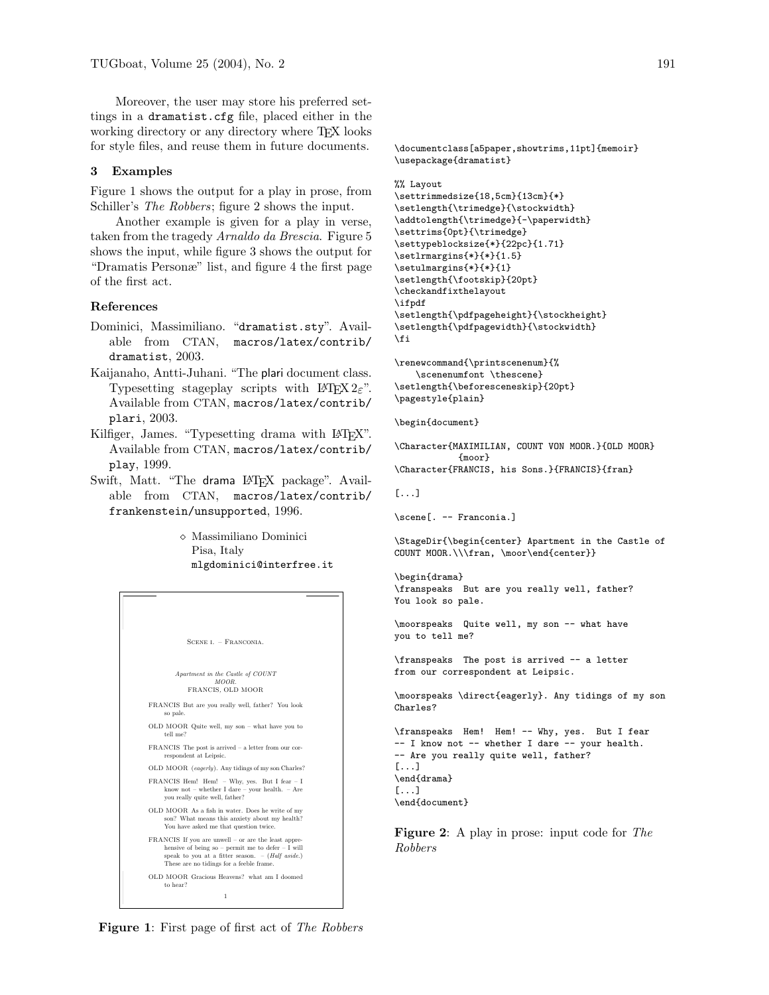Moreover, the user may store his preferred settings in a dramatist.cfg file, placed either in the working directory or any directory where TEX looks for style files, and reuse them in future documents.

## 3 Examples

Figure 1 shows the output for a play in prose, from Schiller's The Robbers; figure 2 shows the input.

Another example is given for a play in verse, taken from the tragedy Arnaldo da Brescia. Figure 5 shows the input, while figure 3 shows the output for "Dramatis Personæ" list, and figure 4 the first page of the first act.

#### References

- Dominici, Massimiliano. "dramatist.sty". Available from CTAN, macros/latex/contrib/ dramatist, 2003.
- Kaijanaho, Antti-Juhani. "The plari document class. Typesetting stageplay scripts with  $\text{LATEX } 2\varepsilon$ ". Available from CTAN, macros/latex/contrib/ plari, 2003.
- Kilfiger, James. "Typesetting drama with LATEX". Available from CTAN, macros/latex/contrib/ play, 1999.
- Swift, Matt. "The drama LAT<sub>EX</sub> package". Available from CTAN, macros/latex/contrib/ frankenstein/unsupported, 1996.

 $\diamond$ Massimiliano Dominici Pisa, Italy mlgdominici@interfree.it



**Figure 1:** First page of first act of *The Robbers* 

\documentclass[a5paper,showtrims,11pt]{memoir} \usepackage{dramatist}

#### %% Layout

```
\settrimmedsize{18,5cm}{13cm}{*}
\setlength{\trimedge}{\stockwidth}
\addtolength{\trimedge}{-\paperwidth}
\settrims{0pt}{\trimedge}
\settypeblocksize{*}{22pc}{1.71}
\setlrmargins{*}{*}{1.5}
\setulmargins{*}{*}{1}
\setlength{\footskip}{20pt}
\checkandfixthelayout
\ifpdf
\setlength{\pdfpageheight}{\stockheight}
\setlength{\pdfpagewidth}{\stockwidth}
\fi
```
\renewcommand{\printscenenum}{% \scenenumfont \thescene} \setlength{\beforesceneskip}{20pt} \pagestyle{plain}

\begin{document}

```
\Character{MAXIMILIAN, COUNT VON MOOR.}{OLD MOOR}
            {moor}
```

```
\Character{FRANCIS, his Sons.}{FRANCIS}{fran}
```

```
[...]
```

```
\scene[. -- Franconia.]
```
\StageDir{\begin{center} Apartment in the Castle of COUNT MOOR.\\\fran, \moor\end{center}}

```
\begin{drama}
\franspeaks But are you really well, father?
You look so pale.
```
\moorspeaks Quite well, my son -- what have you to tell me?

\franspeaks The post is arrived -- a letter from our correspondent at Leipsic.

\moorspeaks \direct{eagerly}. Any tidings of my son Charles?

```
\franspeaks Hem! Hem! -- Why, yes. But I fear
-- I know not -- whether I dare -- your health.
-- Are you really quite well, father?
[...]
\end{drama}
[...]
\end{document}
```
Figure 2: A play in prose: input code for The Robbers